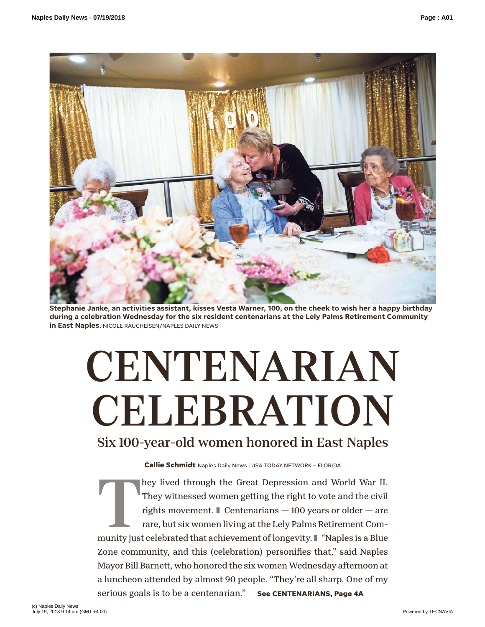

**Stephanie Janke, an activities assistant, kisses Vesta Warner, 100, on the cheek to wish her a happy birthday during a celebration Wednesday for the six resident centenarians at the Lely Palms Retirement Community in East Naples.** NICOLE RAUCHEISEN/NAPLES DAILY NEWS

# **CENTENARIAN** CELEBRATION Six 100-year-old women honored in East Naples

**Callie Schmidt** Naples Daily News | USA TODAY NETWORK – FLORIDA

They lived through the Great Depression and World War II.<br>They witnessed women getting the right to vote and the civil<br>rights movement. ■ Centenarians — 100 years or older — are<br>rare, but six women living at the Lely Palms They witnessed women getting the right to vote and the civil rights movement.  $\blacksquare$  Centenarians  $-100$  years or older  $-$  are rare, but six women living at the Lely Palms Retirement Com-Zone community, and this (celebration) personifies that," said Naples Mayor Bill Barnett, who honored the six women Wednesday afternoon at a luncheon attended by almost 90 people. "They're all sharp. One of my serious goals is to be a centenarian." **See CENTENARIANS, Page 4A**